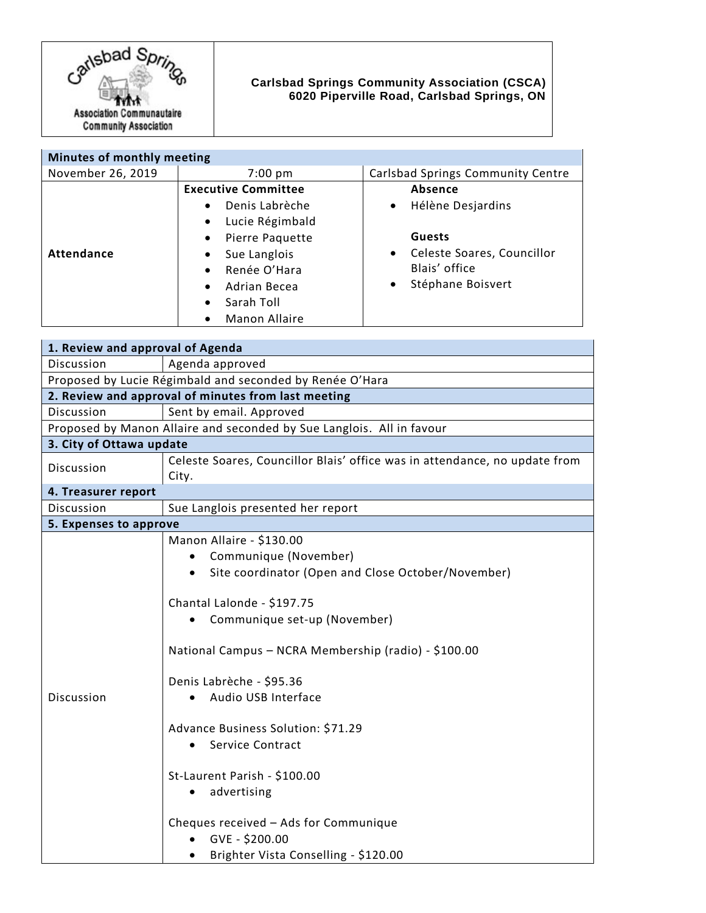

## **Carlsbad Springs Community Association (CSCA) 6020 Piperville Road, Carlsbad Springs, ON**

| Minutes of monthly meeting |                                                                                                                                                                                       |                                                                                                                                                          |
|----------------------------|---------------------------------------------------------------------------------------------------------------------------------------------------------------------------------------|----------------------------------------------------------------------------------------------------------------------------------------------------------|
| November 26, 2019          | $7:00 \text{ pm}$                                                                                                                                                                     | Carlsbad Springs Community Centre                                                                                                                        |
| <b>Attendance</b>          | <b>Executive Committee</b><br>Denis Labrèche<br>Lucie Régimbald<br>Pierre Paquette<br>Sue Langlois<br>Renée O'Hara<br>Adrian Becea<br>$\bullet$<br>Sarah Toll<br><b>Manon Allaire</b> | Absence<br>Hélène Desjardins<br>$\bullet$<br><b>Guests</b><br>Celeste Soares, Councillor<br>$\bullet$<br>Blais' office<br>Stéphane Boisvert<br>$\bullet$ |

| 1. Review and approval of Agenda                                      |                                                                                                                                                                                                                                                                                                                                                                                                                                                                                                                                     |  |
|-----------------------------------------------------------------------|-------------------------------------------------------------------------------------------------------------------------------------------------------------------------------------------------------------------------------------------------------------------------------------------------------------------------------------------------------------------------------------------------------------------------------------------------------------------------------------------------------------------------------------|--|
| Discussion                                                            | Agenda approved                                                                                                                                                                                                                                                                                                                                                                                                                                                                                                                     |  |
| Proposed by Lucie Régimbald and seconded by Renée O'Hara              |                                                                                                                                                                                                                                                                                                                                                                                                                                                                                                                                     |  |
| 2. Review and approval of minutes from last meeting                   |                                                                                                                                                                                                                                                                                                                                                                                                                                                                                                                                     |  |
| Discussion                                                            | Sent by email. Approved                                                                                                                                                                                                                                                                                                                                                                                                                                                                                                             |  |
| Proposed by Manon Allaire and seconded by Sue Langlois. All in favour |                                                                                                                                                                                                                                                                                                                                                                                                                                                                                                                                     |  |
| 3. City of Ottawa update                                              |                                                                                                                                                                                                                                                                                                                                                                                                                                                                                                                                     |  |
| Discussion                                                            | Celeste Soares, Councillor Blais' office was in attendance, no update from<br>City.                                                                                                                                                                                                                                                                                                                                                                                                                                                 |  |
| 4. Treasurer report                                                   |                                                                                                                                                                                                                                                                                                                                                                                                                                                                                                                                     |  |
| Discussion                                                            | Sue Langlois presented her report                                                                                                                                                                                                                                                                                                                                                                                                                                                                                                   |  |
| 5. Expenses to approve                                                |                                                                                                                                                                                                                                                                                                                                                                                                                                                                                                                                     |  |
| Discussion                                                            | Manon Allaire - \$130.00<br>Communique (November)<br>Site coordinator (Open and Close October/November)<br>Chantal Lalonde - \$197.75<br>Communique set-up (November)<br>National Campus - NCRA Membership (radio) - \$100.00<br>Denis Labrèche - \$95.36<br>Audio USB Interface<br>Advance Business Solution: \$71.29<br>Service Contract<br>$\bullet$<br>St-Laurent Parish - \$100.00<br>advertising<br>$\bullet$<br>Cheques received - Ads for Communique<br>GVE - \$200.00<br>Brighter Vista Conselling - \$120.00<br>$\bullet$ |  |